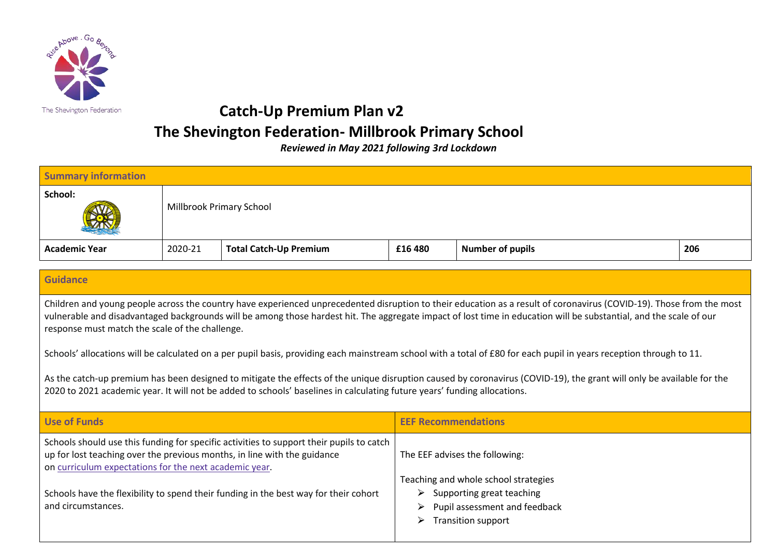

## **Catch-Up Premium Plan v2 The Shevington Federation- Millbrook Primary School**

*Reviewed in May 2021 following 3rd Lockdown*

| <b>Summary information</b> |                          |                               |         |                         |     |
|----------------------------|--------------------------|-------------------------------|---------|-------------------------|-----|
| School:<br>W               | Millbrook Primary School |                               |         |                         |     |
| <b>Academic Year</b>       | 2020-21                  | <b>Total Catch-Up Premium</b> | £16 480 | <b>Number of pupils</b> | 206 |

## **Guidance**

Children and young people across the country have experienced unprecedented disruption to their education as a result of coronavirus (COVID-19). Those from the most vulnerable and disadvantaged backgrounds will be among those hardest hit. The aggregate impact of lost time in education will be substantial, and the scale of our response must match the scale of the challenge.

Schools' allocations will be calculated on a per pupil basis, providing each mainstream school with a total of £80 for each pupil in years reception through to 11.

As the catch-up premium has been designed to mitigate the effects of the unique disruption caused by coronavirus (COVID-19), the grant will only be available for the 2020 to 2021 academic year. It will not be added to schools' baselines in calculating future years' funding allocations.

| Use of Funds                                                                                                                                                                                                                   | <b>EEF Recommendations</b>                                                                                                                                 |  |
|--------------------------------------------------------------------------------------------------------------------------------------------------------------------------------------------------------------------------------|------------------------------------------------------------------------------------------------------------------------------------------------------------|--|
| Schools should use this funding for specific activities to support their pupils to catch<br>up for lost teaching over the previous months, in line with the guidance<br>on curriculum expectations for the next academic year. | The EEF advises the following:                                                                                                                             |  |
| Schools have the flexibility to spend their funding in the best way for their cohort<br>and circumstances.                                                                                                                     | Teaching and whole school strategies<br>$\triangleright$ Supporting great teaching<br>Pupil assessment and feedback<br>➤<br><b>Transition support</b><br>➤ |  |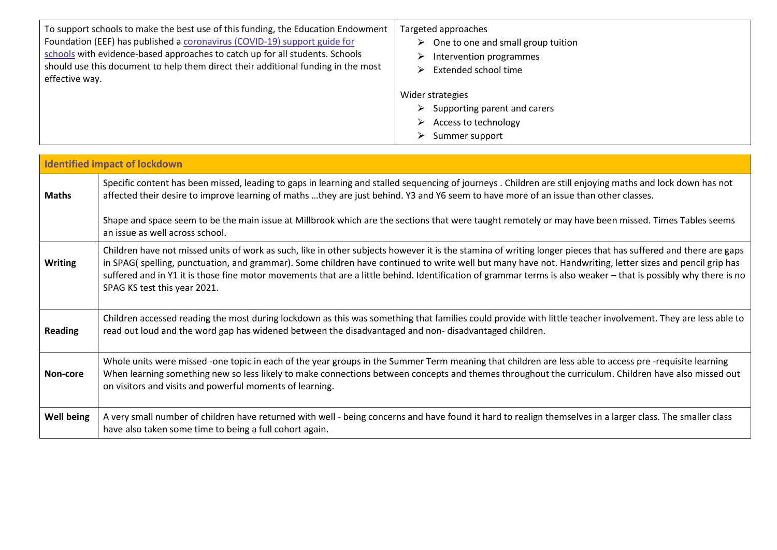| To support schools to make the best use of this funding, the Education Endowment  | Targeted approaches                                                                                                      |
|-----------------------------------------------------------------------------------|--------------------------------------------------------------------------------------------------------------------------|
| Foundation (EEF) has published a coronavirus (COVID-19) support guide for         | $\triangleright$ One to one and small group tuition                                                                      |
| schools with evidence-based approaches to catch up for all students. Schools      | Intervention programmes                                                                                                  |
| should use this document to help them direct their additional funding in the most | $\triangleright$                                                                                                         |
| effective way.                                                                    | Extended school time                                                                                                     |
|                                                                                   | Wider strategies<br>Supporting parent and carers<br>➤<br>Access to technology<br>➤<br>Summer support<br>$\triangleright$ |

|                | <b>Identified impact of lockdown</b>                                                                                                                                                                                                                                                                                                                                                                                                                                                                                           |
|----------------|--------------------------------------------------------------------------------------------------------------------------------------------------------------------------------------------------------------------------------------------------------------------------------------------------------------------------------------------------------------------------------------------------------------------------------------------------------------------------------------------------------------------------------|
| <b>Maths</b>   | Specific content has been missed, leading to gaps in learning and stalled sequencing of journeys. Children are still enjoying maths and lock down has not<br>affected their desire to improve learning of maths they are just behind. Y3 and Y6 seem to have more of an issue than other classes.                                                                                                                                                                                                                              |
|                | Shape and space seem to be the main issue at Millbrook which are the sections that were taught remotely or may have been missed. Times Tables seems<br>an issue as well across school.                                                                                                                                                                                                                                                                                                                                         |
| <b>Writing</b> | Children have not missed units of work as such, like in other subjects however it is the stamina of writing longer pieces that has suffered and there are gaps<br>in SPAG( spelling, punctuation, and grammar). Some children have continued to write well but many have not. Handwriting, letter sizes and pencil grip has<br>suffered and in Y1 it is those fine motor movements that are a little behind. Identification of grammar terms is also weaker - that is possibly why there is no<br>SPAG KS test this year 2021. |
| <b>Reading</b> | Children accessed reading the most during lockdown as this was something that families could provide with little teacher involvement. They are less able to<br>read out loud and the word gap has widened between the disadvantaged and non-disadvantaged children.                                                                                                                                                                                                                                                            |
| Non-core       | Whole units were missed -one topic in each of the year groups in the Summer Term meaning that children are less able to access pre -requisite learning<br>When learning something new so less likely to make connections between concepts and themes throughout the curriculum. Children have also missed out<br>on visitors and visits and powerful moments of learning.                                                                                                                                                      |
| Well being     | A very small number of children have returned with well - being concerns and have found it hard to realign themselves in a larger class. The smaller class<br>have also taken some time to being a full cohort again.                                                                                                                                                                                                                                                                                                          |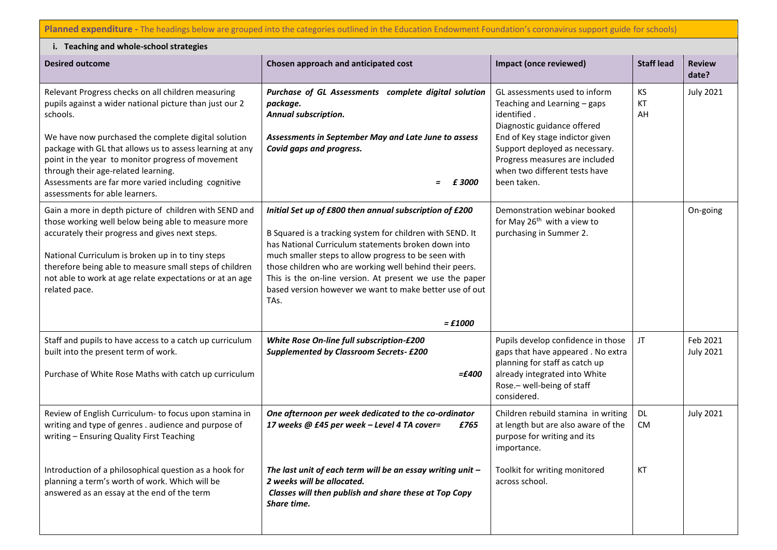**Planned expenditure -** The headings below are grouped into the categories outlined in the Education Endowment Foundation's coronavirus support guide for schools)

| i. Teaching and whole-school strategies                                                                                                                                                                                                                                                                                                                                                                                           |                                                                                                                                                                                                                                                                                                                                                                                                                                              |                                                                                                                                                                                                                                                                    |                        |                              |  |
|-----------------------------------------------------------------------------------------------------------------------------------------------------------------------------------------------------------------------------------------------------------------------------------------------------------------------------------------------------------------------------------------------------------------------------------|----------------------------------------------------------------------------------------------------------------------------------------------------------------------------------------------------------------------------------------------------------------------------------------------------------------------------------------------------------------------------------------------------------------------------------------------|--------------------------------------------------------------------------------------------------------------------------------------------------------------------------------------------------------------------------------------------------------------------|------------------------|------------------------------|--|
| <b>Desired outcome</b>                                                                                                                                                                                                                                                                                                                                                                                                            | Chosen approach and anticipated cost                                                                                                                                                                                                                                                                                                                                                                                                         | Impact (once reviewed)                                                                                                                                                                                                                                             | <b>Staff lead</b>      | <b>Review</b><br>date?       |  |
| Relevant Progress checks on all children measuring<br>pupils against a wider national picture than just our 2<br>schools.<br>We have now purchased the complete digital solution<br>package with GL that allows us to assess learning at any<br>point in the year to monitor progress of movement<br>through their age-related learning.<br>Assessments are far more varied including cognitive<br>assessments for able learners. | Purchase of GL Assessments complete digital solution<br>package.<br>Annual subscription.<br>Assessments in September May and Late June to assess<br>Covid gaps and progress.<br>£3000                                                                                                                                                                                                                                                        | GL assessments used to inform<br>Teaching and Learning - gaps<br>identified.<br>Diagnostic guidance offered<br>End of Key stage indictor given<br>Support deployed as necessary.<br>Progress measures are included<br>when two different tests have<br>been taken. | KS<br>KT<br>AH         | <b>July 2021</b>             |  |
| Gain a more in depth picture of children with SEND and<br>those working well below being able to measure more<br>accurately their progress and gives next steps.<br>National Curriculum is broken up in to tiny steps<br>therefore being able to measure small steps of children<br>not able to work at age relate expectations or at an age<br>related pace.                                                                     | Initial Set up of £800 then annual subscription of £200<br>B Squared is a tracking system for children with SEND. It<br>has National Curriculum statements broken down into<br>much smaller steps to allow progress to be seen with<br>those children who are working well behind their peers.<br>This is the on-line version. At present we use the paper<br>based version however we want to make better use of out<br>TAs.<br>$=$ $£1000$ | Demonstration webinar booked<br>for May 26 <sup>th</sup> with a view to<br>purchasing in Summer 2.                                                                                                                                                                 |                        | On-going                     |  |
| Staff and pupils to have access to a catch up curriculum<br>built into the present term of work.<br>Purchase of White Rose Maths with catch up curriculum                                                                                                                                                                                                                                                                         | White Rose On-line full subscription-£200<br><b>Supplemented by Classroom Secrets- £200</b><br>$=£400$                                                                                                                                                                                                                                                                                                                                       | Pupils develop confidence in those<br>gaps that have appeared. No extra<br>planning for staff as catch up<br>already integrated into White<br>Rose.- well-being of staff<br>considered.                                                                            | JT                     | Feb 2021<br><b>July 2021</b> |  |
| Review of English Curriculum- to focus upon stamina in<br>writing and type of genres . audience and purpose of<br>writing - Ensuring Quality First Teaching                                                                                                                                                                                                                                                                       | One afternoon per week dedicated to the co-ordinator<br>17 weeks @ £45 per week - Level 4 TA cover=<br>£765                                                                                                                                                                                                                                                                                                                                  | Children rebuild stamina in writing<br>at length but are also aware of the<br>purpose for writing and its<br>importance.                                                                                                                                           | <b>DL</b><br><b>CM</b> | <b>July 2021</b>             |  |
| Introduction of a philosophical question as a hook for<br>planning a term's worth of work. Which will be<br>answered as an essay at the end of the term                                                                                                                                                                                                                                                                           | The last unit of each term will be an essay writing unit $-$<br>2 weeks will be allocated.<br>Classes will then publish and share these at Top Copy<br>Share time.                                                                                                                                                                                                                                                                           | Toolkit for writing monitored<br>across school.                                                                                                                                                                                                                    | КT                     |                              |  |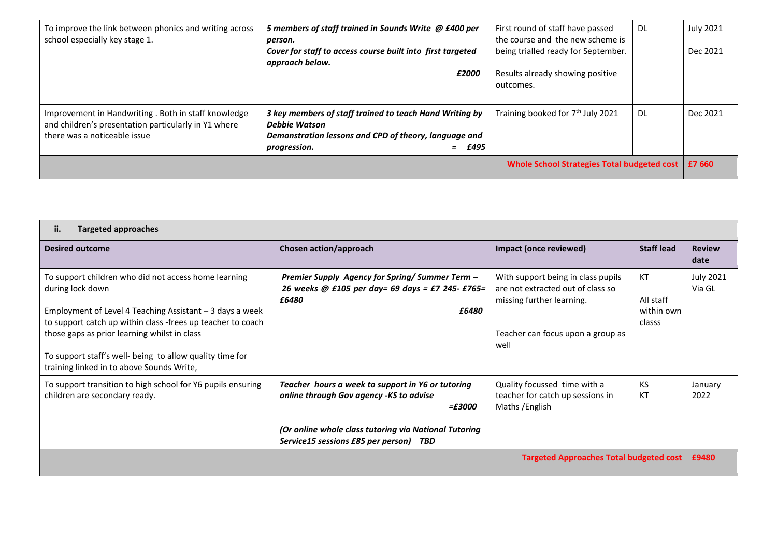| To improve the link between phonics and writing across<br>school especially key stage 1.                                                     | 5 members of staff trained in Sounds Write @ £400 per<br>person.<br>Cover for staff to access course built into first targeted<br>approach below.             | First round of staff have passed<br>the course and the new scheme is<br>being trialled ready for September. | DL  | <b>July 2021</b><br>Dec 2021 |
|----------------------------------------------------------------------------------------------------------------------------------------------|---------------------------------------------------------------------------------------------------------------------------------------------------------------|-------------------------------------------------------------------------------------------------------------|-----|------------------------------|
|                                                                                                                                              | £2000                                                                                                                                                         | Results already showing positive<br>outcomes.                                                               |     |                              |
| Improvement in Handwriting . Both in staff knowledge<br>and children's presentation particularly in Y1 where<br>there was a noticeable issue | 3 key members of staff trained to teach Hand Writing by<br>Debbie Watson<br>Demonstration lessons and CPD of theory, language and<br>$=$ £495<br>progression. | Training booked for 7 <sup>th</sup> July 2021                                                               | DL. | Dec 2021                     |
| Whole School Strategies Total budgeted cost E7 660                                                                                           |                                                                                                                                                               |                                                                                                             |     |                              |

| ii.<br><b>Targeted approaches</b>                                                                                                                                                                                                                                                                                                                             |                                                                                                                                                                                                                     |                                                                                                                                                   |                                         |                            |  |
|---------------------------------------------------------------------------------------------------------------------------------------------------------------------------------------------------------------------------------------------------------------------------------------------------------------------------------------------------------------|---------------------------------------------------------------------------------------------------------------------------------------------------------------------------------------------------------------------|---------------------------------------------------------------------------------------------------------------------------------------------------|-----------------------------------------|----------------------------|--|
| Desired outcome                                                                                                                                                                                                                                                                                                                                               | Chosen action/approach                                                                                                                                                                                              | Impact (once reviewed)                                                                                                                            | <b>Staff lead</b>                       | <b>Review</b><br>date      |  |
| To support children who did not access home learning<br>during lock down<br>Employment of Level 4 Teaching Assistant $-3$ days a week<br>to support catch up within class -frees up teacher to coach<br>those gaps as prior learning whilst in class<br>To support staff's well- being to allow quality time for<br>training linked in to above Sounds Write, | Premier Supply Agency for Spring/Summer Term -<br>26 weeks @ £105 per day= 69 days = £7 245- £765=<br>£6480<br>£6480                                                                                                | With support being in class pupils<br>are not extracted out of class so<br>missing further learning.<br>Teacher can focus upon a group as<br>well | КT<br>All staff<br>within own<br>classs | <b>July 2021</b><br>Via GL |  |
| To support transition to high school for Y6 pupils ensuring<br>children are secondary ready.                                                                                                                                                                                                                                                                  | Teacher hours a week to support in Y6 or tutoring<br>online through Gov agency -KS to advise<br><i>=£3000</i><br>(Or online whole class tutoring via National Tutoring<br>Service15 sessions £85 per person)<br>TBD | Quality focussed time with a<br>teacher for catch up sessions in<br>Maths / English                                                               | KS<br>KT                                | January<br>2022            |  |
| <b>Targeted Approaches Total budgeted cost</b>                                                                                                                                                                                                                                                                                                                |                                                                                                                                                                                                                     |                                                                                                                                                   |                                         | £9480                      |  |